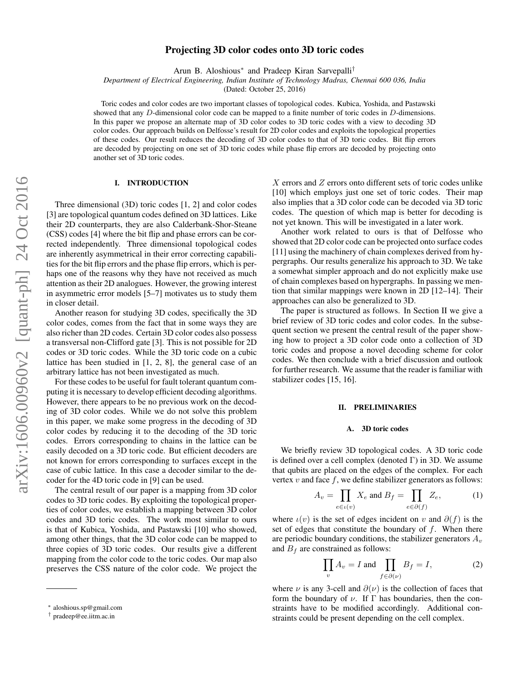# Projecting 3D color codes onto 3D toric codes

Arun B. Aloshious<sup>∗</sup> and Pradeep Kiran Sarvepalli†

*Department of Electrical Engineering, Indian Institute of Technology Madras, Chennai 600 036, India*

(Dated: October 25, 2016)

Toric codes and color codes are two important classes of topological codes. Kubica, Yoshida, and Pastawski showed that any D-dimensional color code can be mapped to a finite number of toric codes in D-dimensions. In this paper we propose an alternate map of 3D color codes to 3D toric codes with a view to decoding 3D color codes. Our approach builds on Delfosse's result for 2D color codes and exploits the topological properties of these codes. Our result reduces the decoding of 3D color codes to that of 3D toric codes. Bit flip errors are decoded by projecting on one set of 3D toric codes while phase flip errors are decoded by projecting onto another set of 3D toric codes.

### I. INTRODUCTION

Three dimensional (3D) toric codes [1, 2] and color codes [3] are topological quantum codes defined on 3D lattices. Like their 2D counterparts, they are also Calderbank-Shor-Steane (CSS) codes [4] where the bit flip and phase errors can be corrected independently. Three dimensional topological codes are inherently asymmetrical in their error correcting capabilities for the bit flip errors and the phase flip errors, which is perhaps one of the reasons why they have not received as much attention as their 2D analogues. However, the growing interest in asymmetric error models [5–7] motivates us to study them in closer detail.

Another reason for studying 3D codes, specifically the 3D color codes, comes from the fact that in some ways they are also richer than 2D codes. Certain 3D color codes also possess a transversal non-Clifford gate [3]. This is not possible for 2D codes or 3D toric codes. While the 3D toric code on a cubic lattice has been studied in [1, 2, 8], the general case of an arbitrary lattice has not been investigated as much.

For these codes to be useful for fault tolerant quantum computing it is necessary to develop efficient decoding algorithms. However, there appears to be no previous work on the decoding of 3D color codes. While we do not solve this problem in this paper, we make some progress in the decoding of 3D color codes by reducing it to the decoding of the 3D toric codes. Errors corresponding to chains in the lattice can be easily decoded on a 3D toric code. But efficient decoders are not known for errors corresponding to surfaces except in the case of cubic lattice. In this case a decoder similar to the decoder for the 4D toric code in [9] can be used.

The central result of our paper is a mapping from 3D color codes to 3D toric codes. By exploiting the topological properties of color codes, we establish a mapping between 3D color codes and 3D toric codes. The work most similar to ours is that of Kubica, Yoshida, and Pastawski [10] who showed, among other things, that the 3D color code can be mapped to three copies of 3D toric codes. Our results give a different mapping from the color code to the toric codes. Our map also preserves the CSS nature of the color code. We project the

X errors and Z errors onto different sets of toric codes unlike [10] which employs just one set of toric codes. Their map also implies that a 3D color code can be decoded via 3D toric codes. The question of which map is better for decoding is not yet known. This will be investigated in a later work.

Another work related to ours is that of Delfosse who showed that 2D color code can be projected onto surface codes [11] using the machinery of chain complexes derived from hypergraphs. Our results generalize his approach to 3D. We take a somewhat simpler approach and do not explicitly make use of chain complexes based on hypergraphs. In passing we mention that similar mappings were known in 2D [12–14]. Their approaches can also be generalized to 3D.

The paper is structured as follows. In Section II we give a brief review of 3D toric codes and color codes. In the subsequent section we present the central result of the paper showing how to project a 3D color code onto a collection of 3D toric codes and propose a novel decoding scheme for color codes. We then conclude with a brief discussion and outlook for further research. We assume that the reader is familiar with stabilizer codes [15, 16].

#### II. PRELIMINARIES

### A. 3D toric codes

We briefly review 3D topological codes. A 3D toric code is defined over a cell complex (denoted  $\Gamma$ ) in 3D. We assume that qubits are placed on the edges of the complex. For each vertex  $v$  and face  $f$ , we define stabilizer generators as follows:

$$
A_v = \prod_{e \in \iota(v)} X_e \text{ and } B_f = \prod_{e \in \partial(f)} Z_e,
$$
 (1)

where  $\iota(v)$  is the set of edges incident on v and  $\partial(f)$  is the set of edges that constitute the boundary of  $f$ . When there are periodic boundary conditions, the stabilizer generators  $A_v$ and  $B_f$  are constrained as follows:

$$
\prod_{v} A_{v} = I \text{ and } \prod_{f \in \partial(v)} B_{f} = I,
$$
 (2)

where  $\nu$  is any 3-cell and  $\partial(\nu)$  is the collection of faces that form the boundary of  $\nu$ . If  $\Gamma$  has boundaries, then the constraints have to be modified accordingly. Additional constraints could be present depending on the cell complex.

<sup>∗</sup> aloshious.sp@gmail.com

<sup>†</sup> pradeep@ee.iitm.ac.in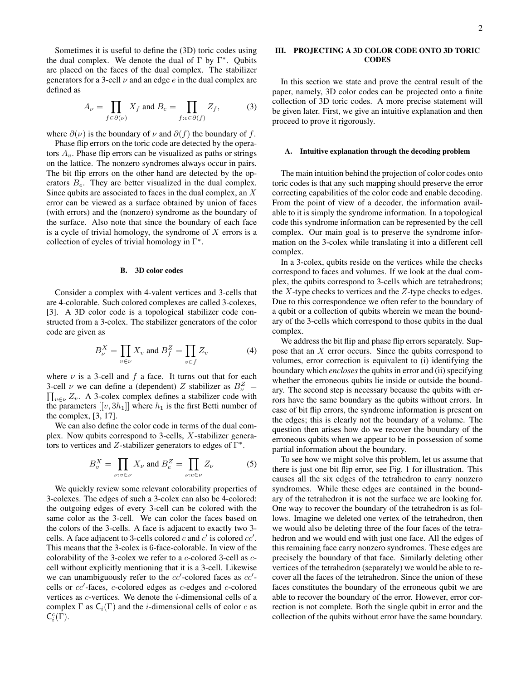Sometimes it is useful to define the (3D) toric codes using the dual complex. We denote the dual of  $\Gamma$  by  $\Gamma^*$ . Qubits are placed on the faces of the dual complex. The stabilizer generators for a 3-cell  $\nu$  and an edge  $e$  in the dual complex are defined as

$$
A_{\nu} = \prod_{f \in \partial(\nu)} X_f \text{ and } B_e = \prod_{f : e \in \partial(f)} Z_f,
$$
 (3)

where  $\partial(\nu)$  is the boundary of  $\nu$  and  $\partial(f)$  the boundary of f.

Phase flip errors on the toric code are detected by the operators  $A<sub>v</sub>$ . Phase flip errors can be visualized as paths or strings on the lattice. The nonzero syndromes always occur in pairs. The bit flip errors on the other hand are detected by the operators  $B_e$ . They are better visualized in the dual complex. Since qubits are associated to faces in the dual complex, an  $X$ error can be viewed as a surface obtained by union of faces (with errors) and the (nonzero) syndrome as the boundary of the surface. Also note that since the boundary of each face is a cycle of trivial homology, the syndrome of  $X$  errors is a collection of cycles of trivial homology in  $\Gamma^*$ .

#### B. 3D color codes

Consider a complex with 4-valent vertices and 3-cells that are 4-colorable. Such colored complexes are called 3-colexes, [3]. A 3D color code is a topological stabilizer code constructed from a 3-colex. The stabilizer generators of the color code are given as

$$
B_{\nu}^{X} = \prod_{v \in \nu} X_{v} \text{ and } B_{f}^{Z} = \prod_{v \in f} Z_{v}
$$
 (4)

where  $\nu$  is a 3-cell and  $f$  a face. It turns out that for each 3-cell  $\nu$  we can define a (dependent) Z stabilizer as  $B_{\nu}^{Z}$  = 3-cell  $\nu$  we can define a (dependent) Z stabilizer as  $B_{\nu}^{Z} = \prod_{v \in \nu} Z_v$ . A 3-colex complex defines a stabilizer code with the parameters  $[[v, 3h_1]]$  where  $h_1$  is the first Betti number of the complex, [3, 17].

We can also define the color code in terms of the dual complex. Now qubits correspond to 3-cells, X-stabilizer generators to vertices and Z-stabilizer generators to edges of  $\Gamma^*$ .

$$
B_v^X = \prod_{\nu: v \in \nu} X_{\nu} \text{ and } B_e^Z = \prod_{\nu: e \in \nu} Z_{\nu} \tag{5}
$$

We quickly review some relevant colorability properties of 3-colexes. The edges of such a 3-colex can also be 4-colored: the outgoing edges of every 3-cell can be colored with the same color as the 3-cell. We can color the faces based on the colors of the 3-cells. A face is adjacent to exactly two 3 cells. A face adjacent to 3-cells colored c and  $c'$  is colored  $cc'$ . This means that the 3-colex is 6-face-colorable. In view of the colorability of the 3-colex we refer to a c-colored 3-cell as ccell without explicitly mentioning that it is a 3-cell. Likewise we can unambiguously refer to the  $cc'$ -colored faces as  $cc'$ cells or  $cc'$ -faces, c-colored edges as c-edges and c-colored vertices as c-vertices. We denote the i-dimensional cells of a complex  $\Gamma$  as  $C_i(\Gamma)$  and the *i*-dimensional cells of color c as  $\mathsf{C}_i^c(\Gamma)$ .

### III. PROJECTING A 3D COLOR CODE ONTO 3D TORIC **CODES**

In this section we state and prove the central result of the paper, namely, 3D color codes can be projected onto a finite collection of 3D toric codes. A more precise statement will be given later. First, we give an intuitive explanation and then proceed to prove it rigorously.

### Intuitive explanation through the decoding problem

The main intuition behind the projection of color codes onto toric codes is that any such mapping should preserve the error correcting capabilities of the color code and enable decoding. From the point of view of a decoder, the information available to it is simply the syndrome information. In a topological code this syndrome information can be represented by the cell complex. Our main goal is to preserve the syndrome information on the 3-colex while translating it into a different cell complex.

In a 3-colex, qubits reside on the vertices while the checks correspond to faces and volumes. If we look at the dual complex, the qubits correspond to 3-cells which are tetrahedrons; the  $X$ -type checks to vertices and the  $Z$ -type checks to edges. Due to this correspondence we often refer to the boundary of a qubit or a collection of qubits wherein we mean the boundary of the 3-cells which correspond to those qubits in the dual complex.

We address the bit flip and phase flip errors separately. Suppose that an X error occurs. Since the qubits correspond to volumes, error correction is equivalent to (i) identifying the boundary which *encloses* the qubits in error and (ii) specifying whether the erroneous qubits lie inside or outside the boundary. The second step is necessary because the qubits with errors have the same boundary as the qubits without errors. In case of bit flip errors, the syndrome information is present on the edges; this is clearly not the boundary of a volume. The question then arises how do we recover the boundary of the erroneous qubits when we appear to be in possession of some partial information about the boundary.

To see how we might solve this problem, let us assume that there is just one bit flip error, see Fig. 1 for illustration. This causes all the six edges of the tetrahedron to carry nonzero syndromes. While these edges are contained in the boundary of the tetrahedron it is not the surface we are looking for. One way to recover the boundary of the tetrahedron is as follows. Imagine we deleted one vertex of the tetrahedron, then we would also be deleting three of the four faces of the tetrahedron and we would end with just one face. All the edges of this remaining face carry nonzero syndromes. These edges are precisely the boundary of that face. Similarly deleting other vertices of the tetrahedron (separately) we would be able to recover all the faces of the tetrahedron. Since the union of these faces constitutes the boundary of the erroneous qubit we are able to recover the boundary of the error. However, error correction is not complete. Both the single qubit in error and the collection of the qubits without error have the same boundary.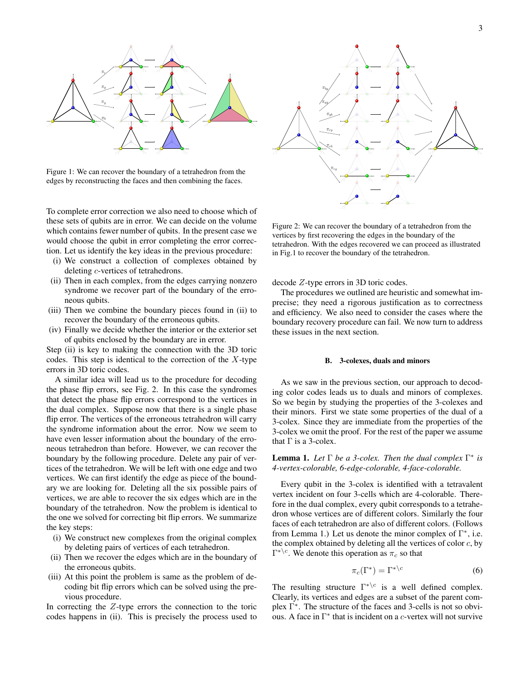

Figure 1: We can recover the boundary of a tetrahedron from the edges by reconstructing the faces and then combining the faces.

To complete error correction we also need to choose which of these sets of qubits are in error. We can decide on the volume which contains fewer number of qubits. In the present case we would choose the qubit in error completing the error correction. Let us identify the key ideas in the previous procedure:

- (i) We construct a collection of complexes obtained by deleting c-vertices of tetrahedrons.
- (ii) Then in each complex, from the edges carrying nonzero syndrome we recover part of the boundary of the erroneous qubits.
- (iii) Then we combine the boundary pieces found in (ii) to recover the boundary of the erroneous qubits.
- (iv) Finally we decide whether the interior or the exterior set of qubits enclosed by the boundary are in error.

Step (ii) is key to making the connection with the 3D toric codes. This step is identical to the correction of the  $X$ -type errors in 3D toric codes.

A similar idea will lead us to the procedure for decoding the phase flip errors, see Fig. 2. In this case the syndromes that detect the phase flip errors correspond to the vertices in the dual complex. Suppose now that there is a single phase flip error. The vertices of the erroneous tetrahedron will carry the syndrome information about the error. Now we seem to have even lesser information about the boundary of the erroneous tetrahedron than before. However, we can recover the boundary by the following procedure. Delete any pair of vertices of the tetrahedron. We will be left with one edge and two vertices. We can first identify the edge as piece of the boundary we are looking for. Deleting all the six possible pairs of vertices, we are able to recover the six edges which are in the boundary of the tetrahedron. Now the problem is identical to the one we solved for correcting bit flip errors. We summarize the key steps:

- (i) We construct new complexes from the original complex by deleting pairs of vertices of each tetrahedron.
- (ii) Then we recover the edges which are in the boundary of the erroneous qubits.
- (iii) At this point the problem is same as the problem of decoding bit flip errors which can be solved using the previous procedure.

In correcting the  $Z$ -type errors the connection to the toric codes happens in (ii). This is precisely the process used to



Figure 2: We can recover the boundary of a tetrahedron from the vertices by first recovering the edges in the boundary of the tetrahedron. With the edges recovered we can proceed as illustrated in Fig.1 to recover the boundary of the tetrahedron.

decode Z-type errors in 3D toric codes.

The procedures we outlined are heuristic and somewhat imprecise; they need a rigorous justification as to correctness and efficiency. We also need to consider the cases where the boundary recovery procedure can fail. We now turn to address these issues in the next section.

#### B. 3-colexes, duals and minors

As we saw in the previous section, our approach to decoding color codes leads us to duals and minors of complexes. So we begin by studying the properties of the 3-colexes and their minors. First we state some properties of the dual of a 3-colex. Since they are immediate from the properties of the 3-colex we omit the proof. For the rest of the paper we assume that  $\Gamma$  is a 3-colex.

**Lemma 1.** Let  $\Gamma$  be a 3-colex. Then the dual complex  $\Gamma^*$  is *4-vertex-colorable, 6-edge-colorable, 4-face-colorable.*

Every qubit in the 3-colex is identified with a tetravalent vertex incident on four 3-cells which are 4-colorable. Therefore in the dual complex, every qubit corresponds to a tetrahedron whose vertices are of different colors. Similarly the four faces of each tetrahedron are also of different colors. (Follows from Lemma 1.) Let us denote the minor complex of  $\Gamma^*$ , i.e. the complex obtained by deleting all the vertices of color  $c$ , by  $\Gamma^{*\setminus c}$ . We denote this operation as  $\pi_c$  so that

$$
\pi_c(\Gamma^*) = \Gamma^{*\langle c \rangle} \tag{6}
$$

The resulting structure  $\Gamma^{*\setminus c}$  is a well defined complex. Clearly, its vertices and edges are a subset of the parent complex Γ ∗ . The structure of the faces and 3-cells is not so obvious. A face in  $\Gamma^*$  that is incident on a c-vertex will not survive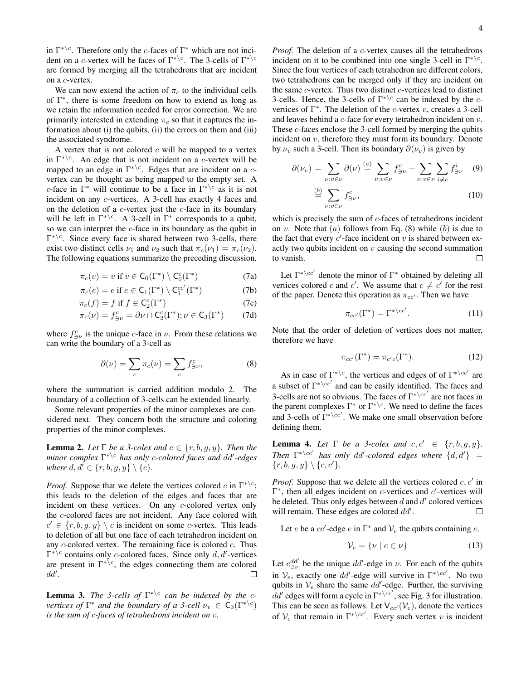in  $\Gamma^{*\setminus c}$ . Therefore only the *c*-faces of  $\Gamma^*$  which are not incident on a c-vertex will be faces of  $\Gamma^{*\setminus c}$ . The 3-cells of  $\Gamma^{*\setminus c}$ are formed by merging all the tetrahedrons that are incident on a c-vertex.

We can now extend the action of  $\pi_c$  to the individual cells of  $\Gamma^*$ , there is some freedom on how to extend as long as we retain the information needed for error correction. We are primarily interested in extending  $\pi_c$  so that it captures the information about (i) the qubits, (ii) the errors on them and (iii) the associated syndrome.

A vertex that is not colored  $c$  will be mapped to a vertex in  $\Gamma^{*\backslash c}$ . An edge that is not incident on a c-vertex will be mapped to an edge in  $\Gamma^{*\backslash c}$ . Edges that are incident on a cvertex can be thought as being mapped to the empty set. A c-face in  $\Gamma^*$  will continue to be a face in  $\Gamma^{*\c}$  as it is not incident on any c-vertices. A 3-cell has exactly 4 faces and on the deletion of a  $c$ -vertex just the  $c$ -face in its boundary will be left in  $\Gamma^{*\backslash c}$ . A 3-cell in  $\Gamma^*$  corresponds to a qubit, so we can interpret the c-face in its boundary as the qubit in  $\Gamma^{*\backslash c}$ . Since every face is shared between two 3-cells, there exist two distinct cells  $\nu_1$  and  $\nu_2$  such that  $\pi_c(\nu_1) = \pi_c(\nu_2)$ . The following equations summarize the preceding discussion.

$$
\pi_c(v) = v \text{ if } v \in \mathsf{C}_0(\Gamma^*) \setminus \mathsf{C}_0^c(\Gamma^*) \tag{7a}
$$

$$
\pi_c(e) = e \text{ if } e \in \mathsf{C}_1(\Gamma^*) \setminus \mathsf{C}_1^{cc'}(\Gamma^*) \tag{7b}
$$

$$
\pi_c(f) = f \text{ if } f \in \mathsf{C}_2^c(\Gamma^*) \tag{7c}
$$

$$
\pi_c(\nu) = f_{\ni\nu}^c = \partial \nu \cap C_2^c(\Gamma^*); \nu \in C_3(\Gamma^*) \tag{7d}
$$

where  $f_{\ni\nu}^c$  is the unique c-face in  $\nu$ . From these relations we can write the boundary of a 3-cell as

$$
\partial(\nu) = \sum_{c} \pi_c(\nu) = \sum_{c} f_{\ni\nu}^c,\tag{8}
$$

where the summation is carried addition modulo 2. The boundary of a collection of 3-cells can be extended linearly.

Some relevant properties of the minor complexes are considered next. They concern both the structure and coloring properties of the minor complexes.

**Lemma 2.** *Let*  $\Gamma$  *be a 3-colex and*  $c \in \{r, b, g, y\}$ *. Then the minor complex*  $\Gamma^{*\setminus c}$  *has only c-colored faces and dd'-edges where*  $d, d' \in \{r, b, g, y\} \setminus \{c\}$ *.* 

*Proof.* Suppose that we delete the vertices colored c in  $\Gamma^{*\backslash c}$ ; this leads to the deletion of the edges and faces that are incident on these vertices. On any c-colored vertex only the c-colored faces are not incident. Any face colored with  $c' \in \{r, b, g, y\} \setminus c$  is incident on some c-vertex. This leads to deletion of all but one face of each tetrahedron incident on any  $c$ -colored vertex. The remaining face is colored  $c$ . Thus  $\Gamma^{*c}$  contains only *c*-colored faces. Since only *d*, *d'*-vertices are present in  $\Gamma^{*\setminus c}$ , the edges connecting them are colored  $dd'.$ П

**Lemma 3.** *The 3-cells of*  $\Gamma^{*\setminus c}$  *can be indexed by the cvertices of*  $\Gamma^*$  *and the boundary of a 3-cell*  $\nu_v \in C_3(\Gamma^{*\setminus c})$ *is the sum of* c*-faces of tetrahedrons incident on* v*.*

*Proof.* The deletion of a *c*-vertex causes all the tetrahedrons incident on it to be combined into one single 3-cell in  $\Gamma^{*\setminus c}$ . Since the four vertices of each tetrahedron are different colors, two tetrahedrons can be merged only if they are incident on the same  $c$ -vertex. Thus two distinct  $c$ -vertices lead to distinct 3-cells. Hence, the 3-cells of  $\Gamma^{*\c}$  can be indexed by the cvertices of  $\Gamma^*$ . The deletion of the *c*-vertex *v*, creates a 3-cell and leaves behind a  $c$ -face for every tetrahedron incident on  $v$ . These c-faces enclose the 3-cell formed by merging the qubits incident on  $v$ , therefore they must form its boundary. Denote by  $\nu_v$  such a 3-cell. Then its boundary  $\partial(\nu_v)$  is given by

$$
\partial(\nu_v) = \sum_{\nu:v \in \nu} \partial(\nu) \stackrel{(a)}{=} \sum_{\nu:v \in \nu} f_{\ni\nu}^c + \sum_{\nu:v \in \nu} \sum_{i \neq c} f_{\ni\nu}^i \quad (9)
$$
  

$$
\stackrel{(b)}{=} \sum f_{\ni\nu}^c,
$$
 (10)

ν:v∈ν which is precisely the sum of c-faces of tetrahedrons incident on v. Note that  $(a)$  follows from Eq. (8) while  $(b)$  is due to the fact that every  $c'$ -face incident on  $v$  is shared between ex-

to vanish.  $\Box$ Let  $\Gamma^{* \setminus cc'}$  denote the minor of  $\Gamma^{*}$  obtained by deleting all vertices colored c and c'. We assume that  $c \neq c'$  for the rest

of the paper. Denote this operation as  $\pi_{cc'}$ . Then we have

actly two qubits incident on  $v$  causing the second summation

$$
\pi_{cc'}(\Gamma^*) = \Gamma^{*\backslash cc'}.
$$
 (11)

Note that the order of deletion of vertices does not matter, therefore we have

$$
\pi_{cc'}(\Gamma^*) = \pi_{c'c}(\Gamma^*). \tag{12}
$$

As in case of  $\Gamma^{*\setminus c}$ , the vertices and edges of of  $\Gamma^{*\setminus cc'}$  are a subset of  $\Gamma^{*\setminus cc'}$  and can be easily identified. The faces and 3-cells are not so obvious. The faces of  $\Gamma^{*\setminus cc'}$  are not faces in the parent complexes  $\Gamma^*$  or  $\Gamma^{*\setminus c}$ . We need to define the faces and 3-cells of  $\Gamma^{* \setminus cc'}$ . We make one small observation before defining them.

**Lemma 4.** Let  $\Gamma$  be a 3-colex and  $c, c' \in \{r, b, g, y\}.$ *Then*  $\Gamma^{* \setminus cc'}$  *has only dd'-colored edges where*  $\{d, d'\}$  =  $\{r, b, q, y\} \setminus \{c, c'\}.$ 

*Proof.* Suppose that we delete all the vertices colored  $c, c'$  in  $\Gamma^*$ , then all edges incident on *c*-vertices and *c'*-vertices will be deleted. Thus only edges between  $d$  and  $d'$  colored vertices will remain. These edges are colored  $dd'$ .  $\Box$ 

Let *e* be a *cc'*-edge *e* in  $\Gamma^*$  and  $V_e$  the qubits containing *e*.

$$
\mathcal{V}_e = \{ \nu \mid e \in \nu \} \tag{13}
$$

Let  $e_{\ni\nu}^{dd'}$  be the unique  $dd'$ -edge in  $\nu$ . For each of the qubits in  $V_e$ , exactly one dd'-edge will survive in  $\Gamma^{*\langle cc \rangle}$ . No two qubits in  $V_e$  share the same  $dd'$ -edge. Further, the surviving  $dd'$  edges will form a cycle in  $\Gamma^{*\setminus cc'}$ , see Fig. 3 for illustration. This can be seen as follows. Let  $V_{cc} (V_e)$ , denote the vertices of  $V_e$  that remain in  $\Gamma^{*\setminus cc'}$ . Every such vertex v is incident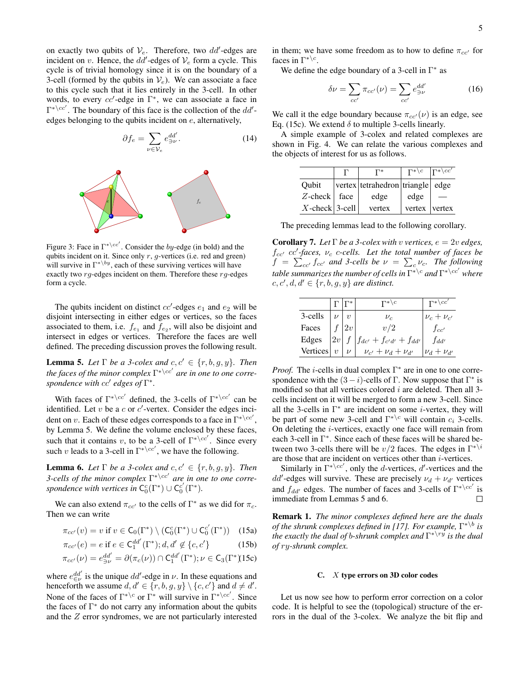on exactly two qubits of  $V_e$ . Therefore, two dd'-edges are incident on v. Hence, the  $dd'$ -edges of  $V_e$  form a cycle. This cycle is of trivial homology since it is on the boundary of a 3-cell (formed by the qubits in  $V_e$ ). We can associate a face to this cycle such that it lies entirely in the 3-cell. In other words, to every  $cc'$ -edge in  $\Gamma^*$ , we can associate a face in  $\Gamma^{* \setminus cc'}$ . The boundary of this face is the collection of the  $dd'$ edges belonging to the qubits incident on e, alternatively,

$$
\partial f_e = \sum_{\nu \in \mathcal{V}_e} e_{\ni \nu}^{dd'}.
$$
 (14)



Figure 3: Face in  $\Gamma^{* \setminus cc'}$ . Consider the by-edge (in bold) and the qubits incident on it. Since only  $r$ ,  $q$ -vertices (i.e. red and green) will survive in  $\Gamma^{* \setminus by}$ , each of these surviving vertices will have exactly two  $rg$ -edges incident on them. Therefore these  $rg$ -edges form a cycle.

The qubits incident on distinct  $cc'$ -edges  $e_1$  and  $e_2$  will be disjoint intersecting in either edges or vertices, so the faces associated to them, i.e.  $f_{e_1}$  and  $f_{e_2}$ , will also be disjoint and intersect in edges or vertices. Therefore the faces are well defined. The preceding discussion proves the following result.

**Lemma 5.** Let  $\Gamma$  be a 3-colex and  $c, c' \in \{r, b, g, y\}$ . Then the faces of the minor complex  $\Gamma^{*\setminus cc'}$  are in one to one corre*spondence with cc' edges of*  $\Gamma^*$ *.* 

With faces of  $\Gamma^{* \setminus cc'}$  defined, the 3-cells of  $\Gamma^{* \setminus cc'}$  can be identified. Let  $v$  be a  $c$  or  $c'$ -vertex. Consider the edges incident on v. Each of these edges corresponds to a face in  $\Gamma^{* \setminus cc'}$ , by Lemma 5. We define the volume enclosed by these faces, such that it contains v, to be a 3-cell of  $\Gamma^{*\setminus cc'}$ . Since every such v leads to a 3-cell in  $\Gamma^{* \setminus cc'}$ , we have the following.

**Lemma 6.** Let  $\Gamma$  be a 3-colex and  $c, c' \in \{r, b, g, y\}$ . Then *3-cells of the minor complex*  $\Gamma^{* \setminus cc'}$  are in one to one corre*spondence with vertices in*  $C_0^c(\Gamma^*) \cup C_0^{c'}(\Gamma^*)$ .

We can also extend  $\pi_{cc'}$  to the cells of  $\Gamma^*$  as we did for  $\pi_c$ . Then we can write

$$
\pi_{cc'}(v) = v \text{ if } v \in \mathsf{C}_0(\Gamma^*) \setminus (\mathsf{C}_0^c(\Gamma^*) \cup \mathsf{C}_0^{c'}(\Gamma^*)) \quad (15a)
$$

$$
\pi_{cc'}(e) = e \text{ if } e \in \mathsf{C}_1^{dd'}(\Gamma^*); d, d' \notin \{c, c'\} \tag{15b}
$$

$$
\pi_{cc'}(\nu) = e_{\ni\nu}^{dd'} = \partial(\pi_c(\nu)) \cap \mathsf{C}_1^{dd'}(\Gamma^*); \nu \in \mathsf{C}_3(\Gamma^*(15c))
$$

where  $e_{\in \nu}^{dd'}$  is the unique dd'-edge in  $\nu$ . In these equations and henceforth we assume  $d, d' \in \{r, b, g, y\} \setminus \{c, c'\}$  and  $d \neq d'$ . None of the faces of  $\Gamma^{* \setminus c}$  or  $\Gamma^{*}$  will survive in  $\Gamma^{* \setminus cc'}$ . Since the faces of  $\Gamma^*$  do not carry any information about the qubits and the Z error syndromes, we are not particularly interested in them; we have some freedom as to how to define  $\pi_{cc}$  for faces in  $\Gamma^{*\setminus c}$ .

We define the edge boundary of a 3-cell in  $\Gamma^*$  as

$$
\delta \nu = \sum_{cc'} \pi_{cc'}(\nu) = \sum_{cc'} e_{\ni\nu}^{dd'} \tag{16}
$$

We call it the edge boundary because  $\pi_{cc}(v)$  is an edge, see Eq. (15c). We extend  $\delta$  to multiple 3-cells linearly.

A simple example of 3-colex and related complexes are shown in Fig. 4. We can relate the various complexes and the objects of interest for us as follows.

|                         | $\Gamma^*$                       | $\Gamma^*\backslash c$ $\Gamma^*\backslash cc'$ |  |
|-------------------------|----------------------------------|-------------------------------------------------|--|
| Oubit                   | vertex tetrahedron triangle edge |                                                 |  |
| $Z$ -check $\vert$ face | edge                             | edge                                            |  |
| $X$ -check 3-cell       | vertex                           | vertex vertex                                   |  |

The preceding lemmas lead to the following corollary.

**Corollary 7.** Let  $\Gamma$  be a 3-colex with v vertices,  $e = 2v$  edges,  $f_{cc}$  cc<sup> $\prime$ </sup>-faces,  $\nu_c$  c-cells. Let the total number of faces be  $f = \sum_{cc'} f_{cc'}$  and 3-cells be  $\nu = \sum_{c} \nu_c$ . The following *table summarizes the number of cells in*  $\Gamma^* \backslash c$  *and*  $\Gamma^* \backslash cc'$  *where*  $c, c', d, d' \in \{r, b, g, y\}$  are distinct.

|          |    |    | $\Gamma^{*}\backslash c$            | $\Gamma^{*}\backslash cc'$ |
|----------|----|----|-------------------------------------|----------------------------|
| 3-cells  |    |    | $\nu_c$                             | $\nu_c + \nu_{c'}$         |
| Faces    |    | 2v | v/2                                 | $f_{cc'}$                  |
| Edges    | 2v |    | $\int f_{dc'} + f_{c'd'} + f_{dd'}$ | $f_{dd'}$                  |
| Vertices |    |    | $\nu_{c'} + \nu_d + \nu_{d'}$       | $\nu_d + \nu_{d'}$         |

*Proof.* The *i*-cells in dual complex  $\Gamma^*$  are in one to one correspondence with the  $(3 - i)$ -cells of Γ. Now suppose that  $\Gamma^*$  is modified so that all vertices colored  $i$  are deleted. Then all 3cells incident on it will be merged to form a new 3-cell. Since all the 3-cells in  $\Gamma^*$  are incident on some *i*-vertex, they will be part of some new 3-cell and  $\Gamma^{*\setminus c}$  will contain  $c_i$  3-cells. On deleting the i-vertices, exactly one face will remain from each 3-cell in Γ<sup>\*</sup>. Since each of these faces will be shared between two 3-cells there will be  $v/2$  faces. The edges in  $\Gamma^{* \setminus i}$ are those that are incident on vertices other than i-vertices.

Similarly in  $\Gamma^{* \setminus cc'}$ , only the *d*-vertices, *d'*-vertices and the dd'-edges will survive. These are precisely  $\nu_d + \nu_{d'}$  vertices and  $f_{dd'}$  edges. The number of faces and 3-cells of  $\Gamma^{* \setminus cc'}$  is immediate from Lemmas 5 and 6.

Remark 1. *The minor complexes defined here are the duals of the shrunk complexes defined in [17]. For example,* Γ ∗\b *is the exactly the dual of* b*-shrunk complex and* Γ ∗\ry *is the dual of* ry*-shrunk complex.*

#### C. X type errors on 3D color codes

Let us now see how to perform error correction on a color code. It is helpful to see the (topological) structure of the errors in the dual of the 3-colex. We analyze the bit flip and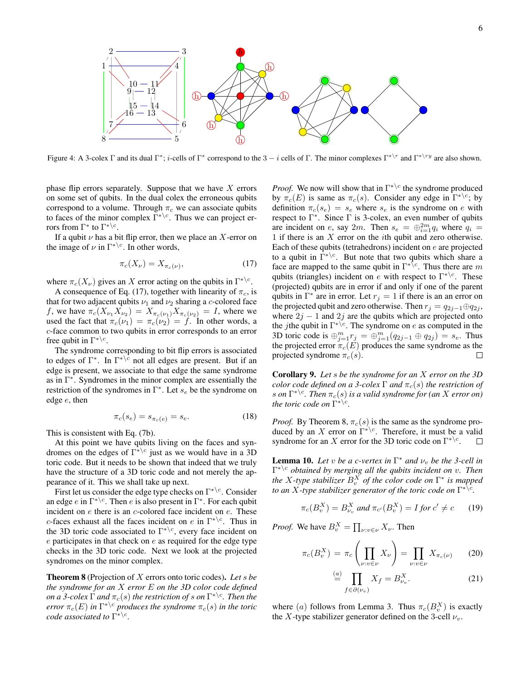

Figure 4: A 3-colex Γ and its dual  $\Gamma^*$ ; *i*-cells of  $\Gamma^*$  correspond to the 3 – *i* cells of Γ. The minor complexes  $\Gamma^{*\setminus r}$  and  $\Gamma^{*\setminus r}$  are also shown.

phase flip errors separately. Suppose that we have  $X$  errors on some set of qubits. In the dual colex the erroneous qubits correspond to a volume. Through  $\pi_c$  we can associate qubits to faces of the minor complex  $\Gamma^{*\setminus c}$ . Thus we can project errors from  $\Gamma^*$  to  $\Gamma^{*\setminus c}$ .

If a qubit  $\nu$  has a bit flip error, then we place an X-error on the image of  $\nu$  in  $\Gamma^{*\setminus c}$ . In other words,

$$
\pi_c(X_\nu) = X_{\pi_c(\nu)},\tag{17}
$$

where  $\pi_c(X_\nu)$  gives an X error acting on the qubits in  $\Gamma^{*\setminus c}$ .

A consequence of Eq. (17), together with linearity of  $\pi_c$ , is that for two adjacent qubits  $\nu_1$  and  $\nu_2$  sharing a c-colored face f, we have  $\pi_c(X_{\nu_1}X_{\nu_2}) = X_{\pi_c(\nu_1)}X_{\pi_c(\nu_2)} = I$ , where we used the fact that  $\pi_c(\nu_1) = \pi_c(\nu_2) = f$ . In other words, a c-face common to two qubits in error corresponds to an error free qubit in  $\Gamma^{*\setminus c}$ .

The syndrome corresponding to bit flip errors is associated to edges of  $\Gamma^*$ . In  $\Gamma^{*\setminus\bar{c}}$  not all edges are present. But if an edge is present, we associate to that edge the same syndrome as in  $\Gamma^*$ . Syndromes in the minor complex are essentially the restriction of the syndromes in  $\Gamma^*$ . Let  $s_e$  be the syndrome on edge e, then

$$
\pi_c(s_e) = s_{\pi_c(e)} = s_e. \tag{18}
$$

This is consistent with Eq. (7b).

At this point we have qubits living on the faces and syndromes on the edges of  $\Gamma^* \backslash c$  just as we would have in a 3D toric code. But it needs to be shown that indeed that we truly have the structure of a 3D toric code and not merely the appearance of it. This we shall take up next.

First let us consider the edge type checks on  $\Gamma^{*\setminus c}$ . Consider an edge e in  $\Gamma^{* \setminus c}$ . Then e is also present in  $\Gamma^{*}$ . For each qubit incident on  $e$  there is an  $c$ -colored face incident on  $e$ . These c-faces exhaust all the faces incident on e in  $\Gamma^{*\c}$ . Thus in the 3D toric code associated to  $\Gamma^{*\setminus c}$ , every face incident on e participates in that check on e as required for the edge type checks in the 3D toric code. Next we look at the projected syndromes on the minor complex.

Theorem 8 (Projection of X errors onto toric codes). *Let* s *be the syndrome for an* X *error* E *on the 3D color code defined*  $\rho$ n a 3-colex  $\Gamma$  and  $\pi_c(s)$  the restriction of  $s$  on  $\Gamma^{*\backslash c}$ . Then the *error*  $\pi_c(E)$  *in*  $\Gamma^{*\setminus c}$  *produces the syndrome*  $\pi_c(s)$  *in the toric code associated to*  $\Gamma^{*\setminus c}$ *.* 

*Proof.* We now will show that in  $\Gamma^{*\c}$  the syndrome produced by  $\pi_c(E)$  is same as  $\pi_c(s)$ . Consider any edge in  $\Gamma^{*\backslash c}$ ; by definition  $\pi_c(s_e) = s_e$  where  $s_e$  is the syndrome on e with respect to  $\Gamma^*$ . Since  $\Gamma$  is 3-colex, an even number of qubits are incident on e, say 2m. Then  $s_e = \bigoplus_{i=1}^{2m} q_i$  where  $q_i =$ 1 if there is an X error on the ith qubit and zero otherwise. Each of these qubits (tetrahedrons) incident on e are projected to a qubit in  $\Gamma^{*\setminus c}$ . But note that two qubits which share a face are mapped to the same qubit in  $\Gamma^{*\sqrt{c}}$ . Thus there are m qubits (triangles) incident on e with respect to  $\Gamma^{*\setminus c}$ . These (projected) qubits are in error if and only if one of the parent qubits in  $\Gamma^*$  are in error. Let  $r_j = 1$  if there is an an error on the projected qubit and zero otherwise. Then  $r_j = q_{2j-1} \oplus q_{2j}$ , where  $2j - 1$  and  $2j$  are the qubits which are projected onto the *j*the qubit in  $\Gamma^{*\setminus c}$ . The syndrome on *e* as computed in the 3D toric code is  $\bigoplus_{j=1}^{m} r_j = \bigoplus_{j=1}^{m} (q_{2j-1} \oplus q_{2j}) = s_e$ . Thus the projected error  $\pi_c(E)$  produces the same syndrome as the projected syndrome  $\pi_c(s)$ .

Corollary 9. *Let* s *be the syndrome for an* X *error on the 3D color code defined on a 3-colex*  $\Gamma$  *and*  $\pi_c(s)$  *the restriction of*  $s$  on  $\Gamma^{*\setminus c}$ . Then  $\pi_c(s)$  is a valid syndrome for (an  $X$  error on) *the toric code on*  $\Gamma^{*\backslash c}$ *.* 

*Proof.* By Theorem 8,  $\pi_c(s)$  is the same as the syndrome produced by an X error on  $\Gamma^* \backslash c$ . Therefore, it must be a valid syndrome for an X error for the 3D toric code on  $\Gamma^{*\backslash c}$ .  $\Box$ 

**Lemma 10.** Let v be a c-vertex in  $\Gamma^*$  and  $\nu_v$  be the 3-cell in Γ ∗\<sup>c</sup> *obtained by merging all the qubits incident on* v*. Then the* X-type stabilizer  $B_v^X$  of the color code on  $\Gamma^*$  is mapped *to an X-type stabilizer generator of the toric code on*  $\Gamma^{*\setminus c}$ *.* 

$$
\pi_c(B_v^X) = B_{\nu_v}^X \text{ and } \pi_{c'}(B_v^X) = I \text{ for } c' \neq c \qquad (19)
$$

*Proof.* We have  $B_v^X = \prod_{\nu: v \in \nu} X_{\nu}$ . Then

$$
\pi_c(B_v^X) = \pi_c\left(\prod_{\nu:v\in\nu} X_\nu\right) = \prod_{\nu:v\in\nu} X_{\pi_c(\nu)} \tag{20}
$$

$$
\stackrel{(a)}{=} \prod_{f \in \partial(\nu_v)} X_f = B_{\nu_v}^X. \tag{21}
$$

where (a) follows from Lemma 3. Thus  $\pi_c(B_v^X)$  is exactly the X-type stabilizer generator defined on the 3-cell  $\nu_v$ .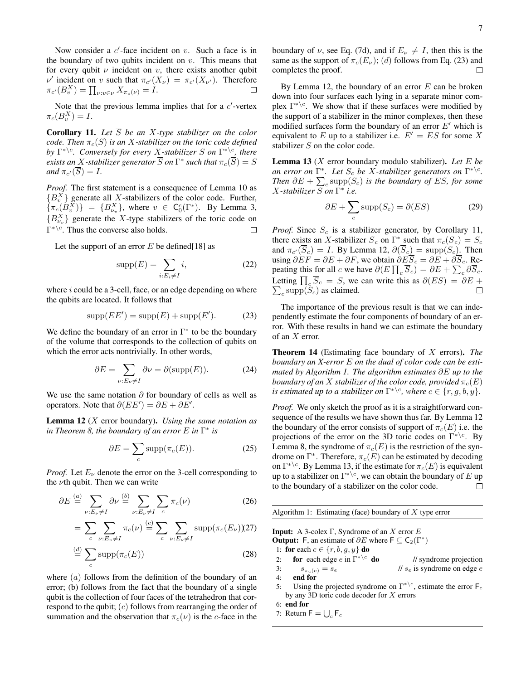Now consider a  $c'$ -face incident on  $v$ . Such a face is in the boundary of two qubits incident on  $v$ . This means that for every qubit  $\nu$  incident on  $\nu$ , there exists another qubit  $\nu'$  incident on v such that  $\pi_{c'}(X_{\nu}) = \pi_{c'}(X_{\nu'})$ . Therefore  $\pi_{c'}(B_v^X) = \prod_{\nu:v\in\nu} X_{\pi_c(\nu)} = I.$  $\Box$ 

Note that the previous lemma implies that for a  $c'$ -vertex  $\pi_c(B_v^X)=I.$ 

**Corollary 11.** Let  $\overline{S}$  be an X-type stabilizer on the color *code. Then*  $\pi_c(\overline{S})$  *is an* X-stabilizer on the toric code defined by  $\Gamma^{*\setminus c}$ *. Conversely for every X-stabilizer* S on  $\Gamma^{*\setminus c}$ *, there*  $e$ xists an  $X$ -stabilizer generator  $\overline{S}$  on  $\Gamma^\ast$  such that  $\pi_c(\overline{S})=S$  $and \pi_{c'}(S) = I.$ 

*Proof.* The first statement is a consequence of Lemma 10 as  ${B_v^X}$  generate all X-stabilizers of the color code. Further,  $\{\pi_c(B_v^{\bar{X}})\} = \{B_{\nu_v}^X\}$ , where  $v \in C_0^c(\Gamma^*)$ . By Lemma 3,  ${B_{\nu_\upsilon}^X}$  generate the X-type stabilizers of the toric code on  $\Gamma^{*\setminus c}$ . Thus the converse also holds. □

Let the support of an error  $E$  be defined [18] as

$$
supp(E) = \sum_{i:E_i \neq I} i,
$$
\n(22)

where  $i$  could be a 3-cell, face, or an edge depending on where the qubits are located. It follows that

$$
supp(EE') = supp(E) + supp(E').
$$
 (23)

We define the boundary of an error in  $\Gamma^*$  to be the boundary of the volume that corresponds to the collection of qubits on which the error acts nontrivially. In other words,

$$
\partial E = \sum_{\nu: E_{\nu} \neq I} \partial \nu = \partial(\text{supp}(E)). \tag{24}
$$

We use the same notation  $\partial$  for boundary of cells as well as operators. Note that  $\partial (EE') = \partial E + \partial E'$ .

Lemma 12 (X error boundary). *Using the same notation as in Theorem 8, the boundary of an error* E *in* Γ ∗ *is*

$$
\partial E = \sum_{c} \text{supp}(\pi_c(E)). \tag{25}
$$

*Proof.* Let  $E_{\nu}$  denote the error on the 3-cell corresponding to the  $\nu$ th qubit. Then we can write

$$
\partial E \stackrel{(a)}{=} \sum_{\nu:E_{\nu} \neq I} \partial \nu \stackrel{(b)}{=} \sum_{\nu:E_{\nu} \neq I} \sum_{c} \pi_c(\nu) \tag{26}
$$
\n
$$
= \sum_{c} \sum_{\nu:E_{\nu} \neq I} \pi_c(\nu) \stackrel{(c)}{=} \sum_{c} \sum_{\nu:E_{\nu} \neq I} \text{supp}(\pi_c(E_{\nu})) \tag{27}
$$
\n
$$
\stackrel{(d)}{=} \sum \text{supp}(\pi_c(E)) \tag{28}
$$

where  $(a)$  follows from the definition of the boundary of an error; (b) follows from the fact that the boundary of a single qubit is the collection of four faces of the tetrahedron that correspond to the qubit;  $(c)$  follows from rearranging the order of summation and the observation that  $\pi_c(\nu)$  is the c-face in the

c

boundary of  $\nu$ , see Eq. (7d), and if  $E_{\nu} \neq I$ , then this is the same as the support of  $\pi_c(E_\nu)$ ; (d) follows from Eq. (23) and completes the proof.  $\Box$ 

By Lemma 12, the boundary of an error  $E$  can be broken down into four surfaces each lying in a separate minor complex  $\Gamma^{*\setminus c}$ . We show that if these surfaces were modified by the support of a stabilizer in the minor complexes, then these modified surfaces form the boundary of an error  $E'$  which is equivalent to E up to a stabilizer i.e.  $E' = ES$  for some X stabilizer S on the color code.

Lemma 13 (X error boundary modulo stabilizer). *Let* E *be an error on*  $\Gamma^*$ *. Let*  $S_c$  *be* X-stabilizer generators on  $\Gamma^{*\setminus c}$ *. Then*  $\partial E$  +  $\sum_{c}$  supp $(S_c)$  *is the boundary of ES, for some* X*-stabilizer* S *on* Γ ∗ *i.e.*

$$
\partial E + \sum_{c} \text{supp}(S_c) = \partial(ES) \tag{29}
$$

*Proof.* Since  $S_c$  is a stabilizer generator, by Corollary 11, there exists an X-stabilizer  $\overline{S}_c$  on  $\Gamma^*$  such that  $\pi_c(\overline{S}_c) = S_c$ and  $\pi_{c'}(S_c) = I$ . By Lemma 12,  $\partial(S_c) = \text{supp}(S_c)$ . Then using  $\partial EF = \partial E + \partial F$ , we obtain  $\partial E\overline{S}_c = \partial E + \partial \overline{S}_c$ . Repeating this for all c we have  $\partial(E\prod_{c}\overline{S}_{c}) = \partial E + \sum_{c}\partial\overline{S}_{c}$ . Letting  $\prod_{c} \overline{S}_{c} = S$ , we can write this as  $\partial (ES) = \partial E + \sum_{c} \text{supp}(S_{c})$  as claimed.  $_c$  supp $(S_c)$  as claimed.

The importance of the previous result is that we can independently estimate the four components of boundary of an error. With these results in hand we can estimate the boundary of an X error.

Theorem 14 (Estimating face boundary of X errors). *The boundary an X-error* E *on the dual of color code can be estimated by Algorithm 1. The algorithm estimates* ∂E *up to the boundary of an* X *stabilizer of the color code, provided*  $\pi_c(E)$ *is estimated up to a stabilizer on*  $\Gamma^{*\setminus c}$ *, where*  $c \in \{r, g, b, y\}$ *.* 

*Proof.* We only sketch the proof as it is a straightforward consequence of the results we have shown thus far. By Lemma 12 the boundary of the error consists of support of  $\pi_c(E)$  i.e. the projections of the error on the 3D toric codes on  $\Gamma^{*\backslash c}$ . By Lemma 8, the syndrome of  $\pi_c(E)$  is the restriction of the syndrome on  $\Gamma^*$ . Therefore,  $\pi_c(E)$  can be estimated by decoding on  $\Gamma^{*\setminus c}$ . By Lemma 13, if the estimate for  $\pi_c(E)$  is equivalent up to a stabilizer on  $\Gamma^{*\setminus c}$ , we can obtain the boundary of  $E$  up to the boundary of a stabilizer on the color code.  $\Box$ 

Algorithm 1: Estimating (face) boundary of  $X$  type error

Input: A 3-colex Γ, Syndrome of an X error  $E$ **Output:** F, an estimate of  $\partial E$  where  $\mathsf{F} \subseteq \mathsf{C}_2(\Gamma^*)$ 1: for each  $c \in \{r, b, g, y\}$  do 2: **for** each edge *e* in  $\Gamma^{*\setminus c}$  $\frac{1}{\sqrt{2}}$  syndrome projection 3:  $s_{\pi_c(e)} = s_e$  // se is syndrome on edge e 4: end for 5: Using the projected syndrome on  $\Gamma^{*\setminus c}$ , estimate the error  $\mathsf{F}_c$ by any 3D toric code decoder for  $X$  errors 6: end for

7: Return  $\mathsf{F} = \bigcup_c \mathsf{F}_c$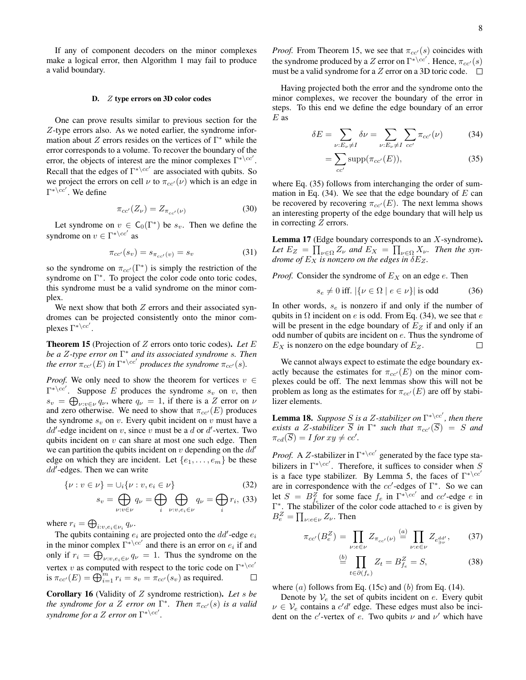If any of component decoders on the minor complexes make a logical error, then Algorithm 1 may fail to produce a valid boundary.

#### D. Z type errors on 3D color codes

One can prove results similar to previous section for the Z-type errors also. As we noted earlier, the syndrome information about  $Z$  errors resides on the vertices of  $\Gamma^*$  while the error corresponds to a volume. To recover the boundary of the error, the objects of interest are the minor complexes  $\Gamma^{* \setminus cc'}$ . Recall that the edges of  $\Gamma^{* \setminus cc'}$  are associated with qubits. So we project the errors on cell  $\nu$  to  $\pi_{cc}(\nu)$  which is an edge in  $\Gamma^{* \setminus cc'}$ . We define

$$
\pi_{cc'}(Z_{\nu}) = Z_{\pi_{cc'}(\nu)} \tag{30}
$$

Let syndrome on  $v \in C_0(\Gamma^*)$  be  $s_v$ . Then we define the syndrome on  $v \in \Gamma^{* \setminus cc'}$  as

$$
\pi_{cc'}(s_v) = s_{\pi_{cc'}(v)} = s_v \tag{31}
$$

so the syndrome on  $\pi_{cc'}(\Gamma^*)$  is simply the restriction of the syndrome on  $\Gamma^*$ . To project the color code onto toric codes, this syndrome must be a valid syndrome on the minor complex.

We next show that both  $Z$  errors and their associated syndromes can be projected consistently onto the minor complexes  $\Gamma^{* \setminus cc'}$ .

Theorem 15 (Projection of Z errors onto toric codes). *Let* E *be a* Z*-type error on* Γ <sup>∗</sup> *and its associated syndrome* s*. Then the error*  $\pi_{cc'}(E)$  *in*  $\Gamma^{*\setminus cc'}$  *produces the syndrome*  $\pi_{cc'}(s)$ *.* 

*Proof.* We only need to show the theorem for vertices  $v \in$  $\Gamma^{* \setminus cc'}$ . Suppose E produces the syndrome  $s_v$  on v, then  $s_v = \bigoplus_{\nu:v \in \nu} q_{\nu}$ , where  $q_{\nu} = 1$ , if there is a Z error on  $\nu$ and zero otherwise. We need to show that  $\pi_{cc'}(E)$  produces the syndrome  $s_v$  on v. Every qubit incident on v must have a  $dd'$ -edge incident on v, since v must be a d or d'-vertex. Two qubits incident on  $v$  can share at most one such edge. Then we can partition the qubits incident on  $v$  depending on the  $dd'$ edge on which they are incident. Let  $\{e_1, \ldots, e_m\}$  be these  $dd$ -edges. Then we can write

$$
\{\nu : v \in \nu\} = \cup_i \{\nu : v, e_i \in \nu\}
$$
 (32)

$$
s_v = \bigoplus_{\nu:v \in \nu} q_{\nu} = \bigoplus_{i} \bigoplus_{\nu:v, e_i \in \nu} q_{\nu} = \bigoplus_{i} r_i, \ (33)
$$

where  $r_i = \bigoplus_{i:v,e_i \in \nu_i} q_{\nu}$ .

The qubits containing  $e_i$  are projected onto the  $dd'$ -edge  $e_i$ in the minor complex  $\Gamma^{*\setminus cc'}$  and there is an error on  $e_i$  if and only if  $r_i = \bigoplus_{\nu : v, e_i \in \nu} q_{\nu} = 1$ . Thus the syndrome on the vertex v as computed with respect to the toric code on  $\Gamma^{* \setminus cc'}$ is  $\pi_{cc'}(E) = \bigoplus_{i=1}^m r_i = s_v = \pi_{cc'}(s_v)$  as required.  $\Box$ 

Corollary 16 (Validity of Z syndrome restriction). *Let* s *be the syndrome for a*  $\overline{Z}$  *error on*  $\Gamma^*$ *. Then*  $\pi_{cc'}(s)$  *is a valid syndrome for a*  $Z$  *error on*  $\Gamma^{*\setminus cc'}.$ 

*Proof.* From Theorem 15, we see that  $\pi_{cc}(s)$  coincides with the syndrome produced by a Z error on  $\Gamma^{*\backslash cc'}$ . Hence,  $\pi_{cc'}(s)$ must be a valid syndrome for a  $Z$  error on a 3D toric code.  $\square$ 

Having projected both the error and the syndrome onto the minor complexes, we recover the boundary of the error in steps. To this end we define the edge boundary of an error  $E$  as

$$
\delta E = \sum_{\nu: E_{\nu} \neq I} \delta \nu = \sum_{\nu: E_{\nu} \neq I} \sum_{cc'} \pi_{cc'}(\nu) \tag{34}
$$

$$
=\sum_{cc'} \operatorname{supp}(\pi_{cc'}(E)),\tag{35}
$$

where Eq.  $(35)$  follows from interchanging the order of summation in Eq.  $(34)$ . We see that the edge boundary of E can be recovered by recovering  $\pi_{cc}(E)$ . The next lemma shows an interesting property of the edge boundary that will help us in correcting Z errors.

**Lemma 17** (Edge boundary corresponds to an  $X$ -syndrome). Let  $E_Z = \prod_{\nu \in \Omega} Z_{\nu}$  and  $E_X = \prod_{\nu \in \Omega} X_{\nu}$ . Then the syn*drome of*  $E_X$  *is nonzero on the edges in*  $\delta E_Z$ *.* 

*Proof.* Consider the syndrome of  $E<sub>X</sub>$  on an edge  $e$ . Then

$$
s_e \neq 0 \text{ iff. } |\{\nu \in \Omega \mid e \in \nu\}| \text{ is odd} \tag{36}
$$

In other words,  $s_e$  is nonzero if and only if the number of qubits in  $\Omega$  incident on e is odd. From Eq. (34), we see that e will be present in the edge boundary of  $E_Z$  if and only if an odd number of qubits are incident on e. Thus the syndrome of  $E<sub>X</sub>$  is nonzero on the edge boundary of  $E<sub>Z</sub>$ .  $\Box$ 

We cannot always expect to estimate the edge boundary exactly because the estimates for  $\pi_{cc'}(E)$  on the minor complexes could be off. The next lemmas show this will not be problem as long as the estimates for  $\pi_{cc'}(E)$  are off by stabilizer elements.

**Lemma 18.** Suppose S is a Z-stabilizer on  $\Gamma^{*\setminus cc'}$ , then there *exists a Z-stabilizer*  $\overline{S}$  *in*  $\Gamma^*$  *such that*  $\pi_{cc'}(\overline{S}) = S$  *and*  $\pi_{cd}(\overline{S}) = I$  for  $xy \neq cc'.$ 

*Proof.* A Z-stabilizer in  $\Gamma^{* \setminus cc'}$  generated by the face type stabilizers in  $\Gamma^{* \setminus cc'}$ . Therefore, it suffices to consider when S is a face type stabilizer. By Lemma 5, the faces of  $\Gamma^{*\setminus cc'}$ are in correspondence with the  $cc'$ -edges of  $\Gamma^*$ . So we can let  $S = B_{f_e}^Z$  for some face  $f_e$  in  $\Gamma^{*\bar{\backslash} cc'}$  and  $cc'$ -edge e in  $\Gamma^*$ . The stabilizer of the color code attached to e is given by  $B_e^Z = \prod_{\nu: e \in \nu} Z_{\nu}$ . Then

$$
\pi_{cc'}(B_e^Z) = \prod_{\nu: e \in \nu} Z_{\pi_{cc'}(\nu)} \stackrel{(a)}{=} \prod_{\nu: e \in \nu} Z_{e_{\ni\nu}^{dd'}},\tag{37}
$$

$$
\stackrel{(b)}{=} \prod_{t \in \partial(f_e)} Z_t = B_{f_e}^Z = S,\tag{38}
$$

where  $(a)$  follows from Eq. (15c) and  $(b)$  from Eq. (14).

Denote by  $V_e$  the set of qubits incident on  $e$ . Every qubit  $\nu \in V_e$  contains a  $c'd'$  edge. These edges must also be incident on the c'-vertex of e. Two qubits  $\nu$  and  $\nu'$  which have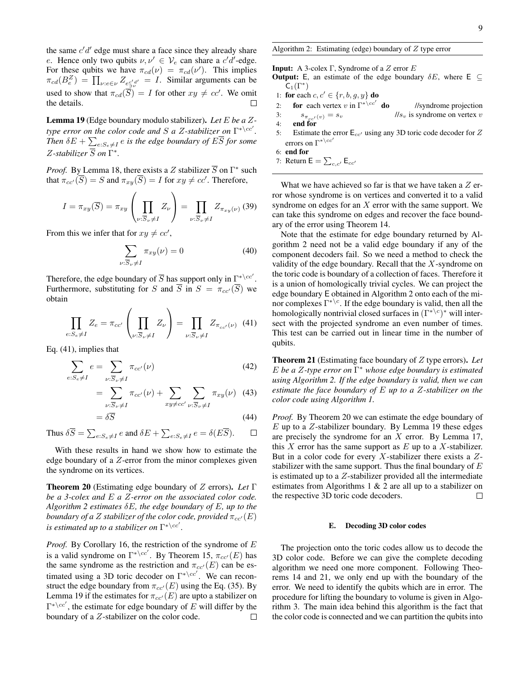the same  $c'd'$  edge must share a face since they already share e. Hence only two qubits  $v, v' \in V_e$  can share a c'd'-edge. For these qubits we have  $\pi_{cd}(\nu) = \pi_{cd}(\nu')$ . This implies  $\pi_{cd}(B_e^Z) = \prod_{\nu: e \in \nu} Z_{e_{\supset \nu}^{\mathcal{C}'d'}} = I$ . Similar arguments can be used to show that  $\pi_{cd}(\overline{S}) = I$  for other  $xy \neq cc'$ . We omit the details.

Lemma 19 (Edge boundary modulo stabilizer). *Let* E *be a* Z*type error on the color code and S a Z-stabilizer on*  $\Gamma^{*\setminus cc'}.$ Then  $\delta E + \sum_{e: S_e \neq I} e$  is the edge boundary of  $E\overline{S}$  for some  $Z$ -stabilizer  $\overline{S}$  on  $\Gamma^*$ .

*Proof.* By Lemma 18, there exists a Z stabilizer  $\overline{S}$  on  $\Gamma^*$  such that  $\pi_{cc'}(\overline{S}) = S$  and  $\pi_{xy}(\overline{S}) = I$  for  $xy \neq cc'$ . Therefore,

$$
I = \pi_{xy}(\overline{S}) = \pi_{xy} \left( \prod_{\nu : \overline{S}_{\nu} \neq I} Z_{\nu} \right) = \prod_{\nu : \overline{S}_{\nu} \neq I} Z_{\pi_{xy}(\nu)} \tag{39}
$$

From this we infer that for  $xy \neq cc'$ ,

$$
\sum_{\nu:\overline{S}_{\nu}\neq I} \pi_{xy}(\nu) = 0 \tag{40}
$$

Therefore, the edge boundary of  $\overline{S}$  has support only in  $\Gamma^{*\setminus cc'}$ . Furthermore, substituting for S and  $\overline{S}$  in  $S = \pi_{cc'}(\overline{S})$  we obtain

$$
\prod_{e:S_e \neq I} Z_e = \pi_{cc'} \left( \prod_{\nu:\overline{S}_{\nu} \neq I} Z_{\nu} \right) = \prod_{\nu:\overline{S}_{\nu} \neq I} Z_{\pi_{cc'}(\nu)} \tag{41}
$$

Eq. (41), implies that

$$
\sum_{e:S_e \neq I} e = \sum_{\nu:\overline{S}_{\nu} \neq I} \pi_{cc'}(\nu) \tag{42}
$$

$$
= \sum_{\nu:\overline{S}_{\nu}\neq I} \pi_{cc'}(\nu) + \sum_{xy\neq cc'} \sum_{\nu:\overline{S}_{\nu}\neq I} \pi_{xy}(\nu) \quad (43)
$$

$$
=\delta\overline{S}
$$
 (44)

Thus  $\delta \overline{S} = \sum_{e: S_e \neq I} e$  and  $\delta E + \sum_{e: S_e \neq I} e = \delta(E\overline{S}).$  $\Box$ 

With these results in hand we show how to estimate the edge boundary of a Z-error from the minor complexes given the syndrome on its vertices.

Theorem 20 (Estimating edge boundary of Z errors). *Let* Γ *be a 3-colex and* E *a* Z*-error on the associated color code. Algorithm 2 estimates* δE*, the edge boundary of* E*, up to the boundary of a* Z *stabilizer of the color code, provided*  $\pi_{cc'}(E)$ *is estimated up to a stabilizer on*  $\Gamma^{* \setminus cc'}$ .

*Proof.* By Corollary 16, the restriction of the syndrome of E is a valid syndrome on  $\Gamma^{* \setminus cc'}$ . By Theorem 15,  $\pi_{cc'}(E)$  has the same syndrome as the restriction and  $\pi_{cc'}(E)$  can be estimated using a 3D toric decoder on  $\Gamma^{* \setminus cc'}$ . We can reconstruct the edge boundary from  $\pi_{cc'}(E)$  using the Eq. (35). By Lemma 19 if the estimates for  $\pi_{cc'}(E)$  are upto a stabilizer on  $\Gamma^{* \setminus cc'}$ , the estimate for edge boundary of E will differ by the boundary of a Z-stabilizer on the color code.  $\Box$ 

## Algorithm 2: Estimating (edge) boundary of  $Z$  type error

**Input:** A 3-colex Γ, Syndrome of a Z error E

- **Output:** E, an estimate of the edge boundary  $\delta E$ , where E  $\subseteq$  $\mathsf{C}_1(\Gamma^\ast)$
- 1: for each  $c, c' \in \{r, b, g, y\}$  do
- 2: **for** each vertex v in  $\Gamma^{* \setminus cc'}$ //syndrome projection
- 3:  $s_{\pi_{cc}(v)} = s_v$  //s<sub>v</sub> is syndrome on vertex v<br>4: **end for** end for
- 5: Estimate the error  $E_{cc'}$  using any 3D toric code decoder for Z errors on  $\Gamma^{*\setminus cc'}$
- 6: end for
- 7: Return  $E = \sum_{c,c'} E_{cc'}$

What we have achieved so far is that we have taken a  $Z$  error whose syndrome is on vertices and converted it to a valid syndrome on edges for an  $X$  error with the same support. We can take this syndrome on edges and recover the face boundary of the error using Theorem 14.

Note that the estimate for edge boundary returned by Algorithm 2 need not be a valid edge boundary if any of the component decoders fail. So we need a method to check the validity of the edge boundary. Recall that the  $X$ -syndrome on the toric code is boundary of a collection of faces. Therefore it is a union of homologically trivial cycles. We can project the edge boundary E obtained in Algorithm 2 onto each of the minor complexes  $\Gamma^{*\setminus c}$ . If the edge boundary is valid, then all the homologically nontrivial closed surfaces in  $(\Gamma^{*\setminus c})^*$  will intersect with the projected syndrome an even number of times. This test can be carried out in linear time in the number of qubits.

Theorem 21 (Estimating face boundary of Z type errors). *Let* E *be a* Z*-type error on* Γ <sup>∗</sup> *whose edge boundary is estimated using Algorithm 2. If the edge boundary is valid, then we can estimate the face boundary of* E *up to a* Z*-stabilizer on the color code using Algorithm 1.*

*Proof.* By Theorem 20 we can estimate the edge boundary of  $E$  up to a  $Z$ -stabilizer boundary. By Lemma 19 these edges are precisely the syndrome for an  $X$  error. By Lemma 17, this  $X$  error has the same support as  $E$  up to a  $X$ -stabilizer. But in a color code for every  $X$ -stabilizer there exists a  $Z$ stabilizer with the same support. Thus the final boundary of  $E$ is estimated up to a  $Z$ -stabilizer provided all the intermediate estimates from Algorithms 1 & 2 are all up to a stabilizer on the respective 3D toric code decoders.  $\Box$ 

### E. Decoding 3D color codes

The projection onto the toric codes allow us to decode the 3D color code. Before we can give the complete decoding algorithm we need one more component. Following Theorems 14 and 21, we only end up with the boundary of the error. We need to identify the qubits which are in error. The procedure for lifting the boundary to volume is given in Algorithm 3. The main idea behind this algorithm is the fact that the color code is connected and we can partition the qubits into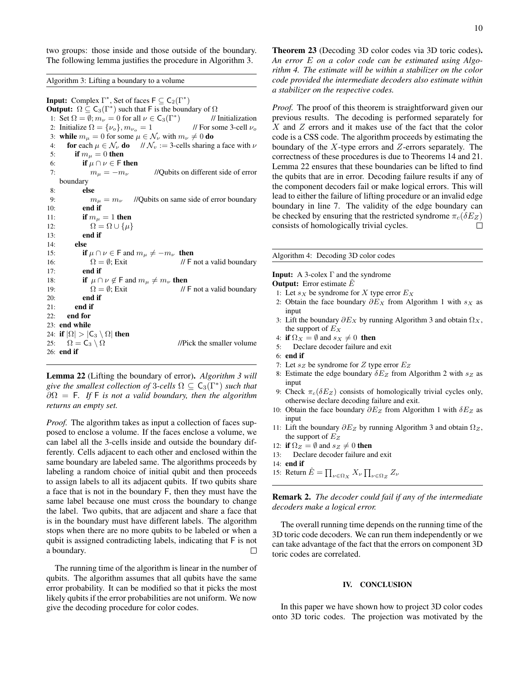two groups: those inside and those outside of the boundary. The following lemma justifies the procedure in Algorithm 3.

Algorithm 3: Lifting a boundary to a volume

**Input:** Complex  $\Gamma^*$ , Set of faces  $\mathsf{F} \subseteq \mathsf{C}_2(\Gamma^*)$ **Output:**  $\Omega \subseteq C_3(\Gamma^*)$  such that F is the boundary of  $\Omega$ 1: Set  $\Omega = \emptyset$ ;  $m_{\nu} = 0$  for all  $\nu \in C_3(\Gamma^*)$ ) // Initialization 2: Initialize  $\Omega = {\nu_o}$ ,  $m_{\nu_o} = 1$  // For some 3-cell  $\nu_o$ 3: while  $m_{\mu} = 0$  for some  $\mu \in \mathcal{N}_{\nu}$  with  $m_{\nu} \neq 0$  do 4: **for** each  $\mu \in \mathcal{N}_{\nu}$  **do**  $\mathcal{N}_{\nu} := 3$ -cells sharing a face with  $\nu$ 5: if  $m<sub>\mu</sub> = 0$  then 6: if  $\mu \cap \nu \in \mathsf{F}$  then 7:  $m_{\mu} = -m_{\nu}$  //Qubits on different side of error boundary 8: else 9:  $m_{\mu} = m_{\nu}$  //Qubits on same side of error boundary 10: end if 11: if  $m_{\mu} = 1$  then 12:  $\Omega = \Omega \cup \{\mu\}$ 13: end if 14: else 15: **if**  $\mu \cap \nu \in \mathsf{F}$  and  $m_{\mu} \neq -m_{\nu}$  then 16:  $\Omega = \emptyset$ ; Exit // F not a valid boundary 17: end if 18: **if**  $\mu \cap \nu \notin \mathsf{F}$  and  $m_{\mu} \neq m_{\nu}$  then 19:  $\Omega = \emptyset$ ; Exit // F not a valid boundary 20: end if  $21:$  end if 22: end for 23: end while 24: if  $|\Omega| > |C_3 \setminus \Omega|$  then<br>25:  $\Omega = C_3 \setminus \Omega$ 25:  $\Omega = C_3 \setminus \Omega$  //Pick the smaller volume 26: end if

Lemma 22 (Lifting the boundary of error). *Algorithm 3 will give the smallest collection of* 3*-cells*  $\Omega \subseteq C_3(\Gamma^*)$  *such that* ∂Ω = F*. If* F *is not a valid boundary, then the algorithm returns an empty set.*

*Proof.* The algorithm takes as input a collection of faces supposed to enclose a volume. If the faces enclose a volume, we can label all the 3-cells inside and outside the boundary differently. Cells adjacent to each other and enclosed within the same boundary are labeled same. The algorithms proceeds by labeling a random choice of initial qubit and then proceeds to assign labels to all its adjacent qubits. If two qubits share a face that is not in the boundary F, then they must have the same label because one must cross the boundary to change the label. Two qubits, that are adjacent and share a face that is in the boundary must have different labels. The algorithm stops when there are no more qubits to be labeled or when a qubit is assigned contradicting labels, indicating that F is not a boundary.  $\Box$ 

The running time of the algorithm is linear in the number of qubits. The algorithm assumes that all qubits have the same error probability. It can be modified so that it picks the most likely qubits if the error probabilities are not uniform. We now give the decoding procedure for color codes.

Theorem 23 (Decoding 3D color codes via 3D toric codes). *An error* E *on a color code can be estimated using Algorithm 4. The estimate will be within a stabilizer on the color code provided the intermediate decoders also estimate within a stabilizer on the respective codes.*

*Proof.* The proof of this theorem is straightforward given our previous results. The decoding is performed separately for X and Z errors and it makes use of the fact that the color code is a CSS code. The algorithm proceeds by estimating the boundary of the  $X$ -type errors and  $Z$ -errors separately. The correctness of these procedures is due to Theorems 14 and 21. Lemma 22 ensures that these boundaries can be lifted to find the qubits that are in error. Decoding failure results if any of the component decoders fail or make logical errors. This will lead to either the failure of lifting procedure or an invalid edge boundary in line 7. The validity of the edge boundary can be checked by ensuring that the restricted syndrome  $\pi_c(\delta E_z)$ consists of homologically trivial cycles.  $\Box$ 

Algorithm 4: Decoding 3D color codes

**Input:** A 3-colex  $\Gamma$  and the syndrome

- **Output:** Error estimate  $\hat{E}$
- 1: Let  $s_X$  be syndrome for X type error  $E_X$
- 2: Obtain the face boundary  $\partial E_X$  from Algorithm 1 with  $s_X$  as input
- 3: Lift the boundary  $\partial E_X$  by running Algorithm 3 and obtain  $\Omega_X$ , the support of  $E_X$
- 4: if  $\Omega_X = \emptyset$  and  $s_X \neq 0$  then
- 5: Declare decoder failure and exit
- 6: end if
- 7: Let  $s_Z$  be syndrome for  $Z$  type error  $E_Z$
- 8: Estimate the edge boundary  $\delta E_Z$  from Algorithm 2 with  $s_Z$  as input
- 9: Check  $\pi_c(\delta E_Z)$  consists of homologically trivial cycles only, otherwise declare decoding failure and exit.
- 10: Obtain the face boundary  $\partial E_Z$  from Algorithm 1 with  $\delta E_Z$  as input
- 11: Lift the boundary  $\partial E_Z$  by running Algorithm 3 and obtain  $\Omega_Z$ , the support of  $E_Z$
- 12: if  $\Omega_Z = \emptyset$  and  $s_Z \neq 0$  then
- 13: Declare decoder failure and exit
- 14: end if
- 15: Return  $\hat{E} = \prod_{\nu \in \Omega_X} X_{\nu} \prod_{\nu \in \Omega_Z} Z_{\nu}$

Remark 2. *The decoder could fail if any of the intermediate decoders make a logical error.*

The overall running time depends on the running time of the 3D toric code decoders. We can run them independently or we can take advantage of the fact that the errors on component 3D toric codes are correlated.

### IV. CONCLUSION

In this paper we have shown how to project 3D color codes onto 3D toric codes. The projection was motivated by the